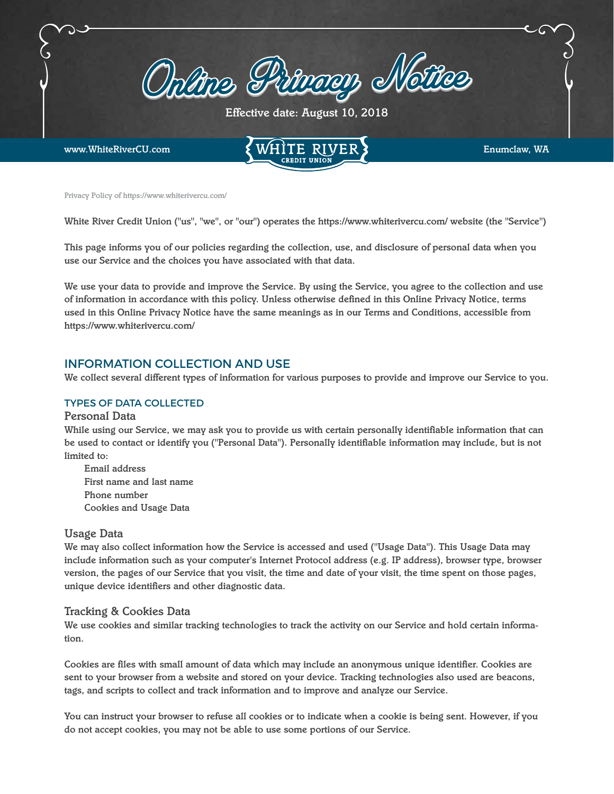

*Effective date: August 10, 2018*



*Privacy Policy of https://www.whiterivercu.com/*

*White River Credit Union ("us", "we", or "our") operates the https://www.whiterivercu.com/ website (the "Service")*

*This page informs you of our policies regarding the collection, use, and disclosure of personal data when you use our Service and the choices you have associated with that data.* 

*We use your data to provide and improve the Service. By using the Service, you agree to the collection and use of information in accordance with this policy. Unless otherwise defined in this Online Privacy Notice, terms used in this Online Privacy Notice have the same meanings as in our Terms and Conditions, accessible from https://www.whiterivercu.com/*

# INFORMATION COLLECTION AND USE

*We collect several different types of information for various purposes to provide and improve our Service to you.*

# TYPES OF DATA COLLECTED

### *Personal Data*

*While using our Service, we may ask you to provide us with certain personally identifiable information that can*  be used to contact or identify you ("Personal Data"). Personally identifiable information may include, but is not *limited to:*

*Email address First name and last name Phone number Cookies and Usage Data*

### *Usage Data*

*We may also collect information how the Service is accessed and used ("Usage Data"). This Usage Data may include information such as your computer's Internet Protocol address (e.g. IP address), browser type, browser version, the pages of our Service that you visit, the time and date of your visit, the time spent on those pages, unique device identifiers and other diagnostic data.*

#### *Tracking & Cookies Data*

*We use cookies and similar tracking technologies to track the activity on our Service and hold certain information.*

*Cookies are files with small amount of data which may include an anonymous unique identifier. Cookies are sent to your browser from a website and stored on your device. Tracking technologies also used are beacons, tags, and scripts to collect and track information and to improve and analyze our Service.*

*You can instruct your browser to refuse all cookies or to indicate when a cookie is being sent. However, if you do not accept cookies, you may not be able to use some portions of our Service.*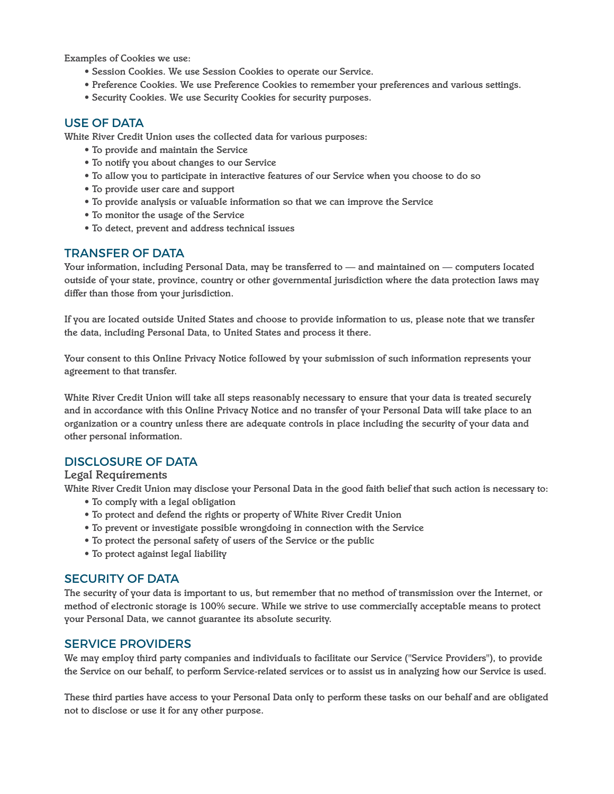*Examples of Cookies we use:*

- *Session Cookies. We use Session Cookies to operate our Service.*
- *Preference Cookies. We use Preference Cookies to remember your preferences and various settings.*
- *Security Cookies. We use Security Cookies for security purposes.*

# USE OF DATA

*White River Credit Union uses the collected data for various purposes:*

- *To provide and maintain the Service*
- *To notify you about changes to our Service*
- *To allow you to participate in interactive features of our Service when you choose to do so*
- *To provide user care and support*
- *To provide analysis or valuable information so that we can improve the Service*
- *To monitor the usage of the Service*
- *To detect, prevent and address technical issues*

# TRANSFER OF DATA

*Your information, including Personal Data, may be transferred to — and maintained on — computers located outside of your state, province, country or other governmental jurisdiction where the data protection laws may differ than those from your jurisdiction.*

*If you are located outside United States and choose to provide information to us, please note that we transfer the data, including Personal Data, to United States and process it there.*

*Your consent to this Online Privacy Notice followed by your submission of such information represents your agreement to that transfer.*

*White River Credit Union will take all steps reasonably necessary to ensure that your data is treated securely and in accordance with this Online Privacy Notice and no transfer of your Personal Data will take place to an organization or a country unless there are adequate controls in place including the security of your data and other personal information.*

# DISCLOSURE OF DATA

### *Legal Requirements*

*White River Credit Union may disclose your Personal Data in the good faith belief that such action is necessary to:*

- *To comply with a legal obligation*
- *To protect and defend the rights or property of White River Credit Union*
- *To prevent or investigate possible wrongdoing in connection with the Service*
- *To protect the personal safety of users of the Service or the public*
- *To protect against legal liability*

## SECURITY OF DATA

*The security of your data is important to us, but remember that no method of transmission over the Internet, or method of electronic storage is 100% secure. While we strive to use commercially acceptable means to protect your Personal Data, we cannot guarantee its absolute security.*

## SERVICE PROVIDERS

*We may employ third party companies and individuals to facilitate our Service ("Service Providers"), to provide the Service on our behalf, to perform Service-related services or to assist us in analyzing how our Service is used.*

*These third parties have access to your Personal Data only to perform these tasks on our behalf and are obligated not to disclose or use it for any other purpose.*